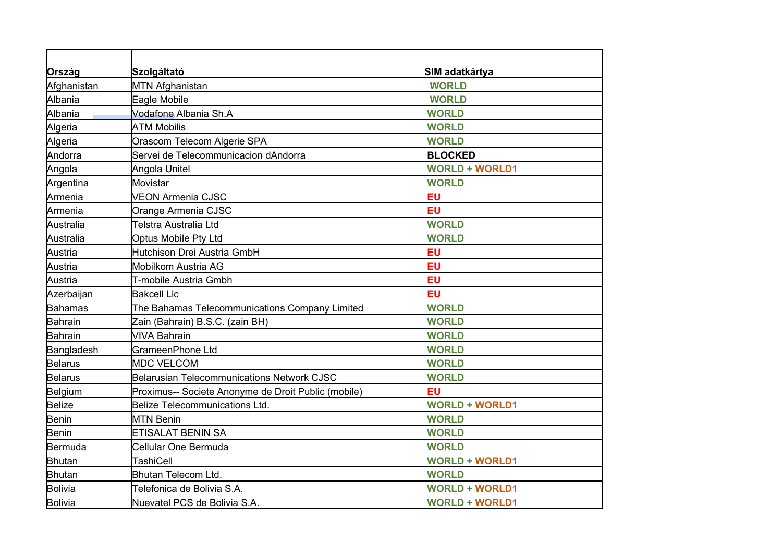| Ország         | Szolgáltató                                         | SIM adatkártya        |
|----------------|-----------------------------------------------------|-----------------------|
| Afghanistan    | <b>MTN Afghanistan</b>                              | <b>WORLD</b>          |
| Albania        | Eagle Mobile                                        | <b>WORLD</b>          |
| Albania        | Vodafone Albania Sh.A                               | <b>WORLD</b>          |
| Algeria        | <b>ATM Mobilis</b>                                  | <b>WORLD</b>          |
| Algeria        | Orascom Telecom Algerie SPA                         | <b>WORLD</b>          |
| Andorra        | Servei de Telecommunicacion dAndorra                | <b>BLOCKED</b>        |
| Angola         | Angola Unitel                                       | <b>WORLD + WORLD1</b> |
| Argentina      | Movistar                                            | <b>WORLD</b>          |
| Armenia        | <b>VEON Armenia CJSC</b>                            | <b>EU</b>             |
| Armenia        | Orange Armenia CJSC                                 | <b>EU</b>             |
| Australia      | Telstra Australia Ltd                               | <b>WORLD</b>          |
| Australia      | <b>Optus Mobile Pty Ltd</b>                         | <b>WORLD</b>          |
| Austria        | Hutchison Drei Austria GmbH                         | <b>EU</b>             |
| Austria        | Mobilkom Austria AG                                 | EU                    |
| Austria        | T-mobile Austria Gmbh                               | <b>EU</b>             |
| Azerbaijan     | <b>Bakcell Llc</b>                                  | EU                    |
| <b>Bahamas</b> | The Bahamas Telecommunications Company Limited      | <b>WORLD</b>          |
| <b>Bahrain</b> | Zain (Bahrain) B.S.C. (zain BH)                     | <b>WORLD</b>          |
| <b>Bahrain</b> | <b>VIVA Bahrain</b>                                 | <b>WORLD</b>          |
| Bangladesh     | GrameenPhone Ltd                                    | <b>WORLD</b>          |
| <b>Belarus</b> | <b>MDC VELCOM</b>                                   | <b>WORLD</b>          |
| <b>Belarus</b> | <b>Belarusian Telecommunications Network CJSC</b>   | <b>WORLD</b>          |
| Belgium        | Proximus-- Societe Anonyme de Droit Public (mobile) | EU                    |
| <b>Belize</b>  | <b>Belize Telecommunications Ltd.</b>               | <b>WORLD + WORLD1</b> |
| <b>Benin</b>   | <b>MTN Benin</b>                                    | <b>WORLD</b>          |
| <b>Benin</b>   | ETISALAT BENIN SA                                   | <b>WORLD</b>          |
| <b>Bermuda</b> | Cellular One Bermuda                                | <b>WORLD</b>          |
| <b>Bhutan</b>  | TashiCell                                           | <b>WORLD + WORLD1</b> |
| <b>Bhutan</b>  | <b>Bhutan Telecom Ltd.</b>                          | <b>WORLD</b>          |
| <b>Bolivia</b> | Telefonica de Bolivia S.A.                          | <b>WORLD + WORLD1</b> |
| <b>Bolivia</b> | Nuevatel PCS de Bolivia S.A.                        | <b>WORLD + WORLD1</b> |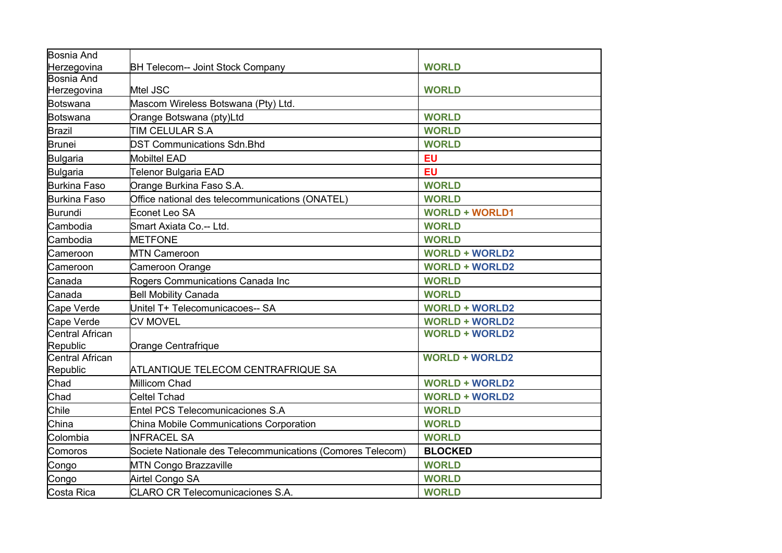| <b>Bosnia And</b>   |                                                            |                       |
|---------------------|------------------------------------------------------------|-----------------------|
| Herzegovina         | <b>BH Telecom-- Joint Stock Company</b>                    | <b>WORLD</b>          |
| <b>Bosnia And</b>   |                                                            |                       |
| Herzegovina         | Mtel JSC                                                   | <b>WORLD</b>          |
| <b>Botswana</b>     | Mascom Wireless Botswana (Pty) Ltd.                        |                       |
| <b>Botswana</b>     | Orange Botswana (pty)Ltd                                   | <b>WORLD</b>          |
| <b>Brazil</b>       | TIM CELULAR S.A                                            | <b>WORLD</b>          |
| <b>Brunei</b>       | <b>DST Communications Sdn.Bhd</b>                          | <b>WORLD</b>          |
| <b>Bulgaria</b>     | <b>Mobiltel EAD</b>                                        | EU                    |
| <b>Bulgaria</b>     | Telenor Bulgaria EAD                                       | <b>EU</b>             |
| <b>Burkina Faso</b> | Orange Burkina Faso S.A.                                   | <b>WORLD</b>          |
| <b>Burkina Faso</b> | Office national des telecommunications (ONATEL)            | <b>WORLD</b>          |
| <b>Burundi</b>      | Econet Leo SA                                              | <b>WORLD + WORLD1</b> |
| Cambodia            | Smart Axiata Co.-- Ltd.                                    | <b>WORLD</b>          |
| Cambodia            | <b>METFONE</b>                                             | <b>WORLD</b>          |
| Cameroon            | <b>MTN Cameroon</b>                                        | <b>WORLD + WORLD2</b> |
| Cameroon            | Cameroon Orange                                            | <b>WORLD + WORLD2</b> |
| Canada              | Rogers Communications Canada Inc                           | <b>WORLD</b>          |
| Canada              | <b>Bell Mobility Canada</b>                                | <b>WORLD</b>          |
| Cape Verde          | Unitel T+ Telecomunicacoes-- SA                            | <b>WORLD + WORLD2</b> |
| Cape Verde          | <b>CV MOVEL</b>                                            | <b>WORLD + WORLD2</b> |
| Central African     |                                                            | <b>WORLD + WORLD2</b> |
| Republic            | Orange Centrafrique                                        |                       |
| Central African     |                                                            | <b>WORLD + WORLD2</b> |
| Republic            | ATLANTIQUE TELECOM CENTRAFRIQUE SA                         |                       |
| Chad                | <b>Millicom Chad</b>                                       | <b>WORLD + WORLD2</b> |
| Chad                | <b>Celtel Tchad</b>                                        | <b>WORLD + WORLD2</b> |
| Chile               | <b>Entel PCS Telecomunicaciones S.A</b>                    | <b>WORLD</b>          |
| China               | China Mobile Communications Corporation                    | <b>WORLD</b>          |
| Colombia            | <b>INFRACEL SA</b>                                         | <b>WORLD</b>          |
| Comoros             | Societe Nationale des Telecommunications (Comores Telecom) | <b>BLOCKED</b>        |
| Congo               | <b>MTN Congo Brazzaville</b>                               | <b>WORLD</b>          |
| Congo               | Airtel Congo SA                                            | <b>WORLD</b>          |
| Costa Rica          | <b>CLARO CR Telecomunicaciones S.A.</b>                    | <b>WORLD</b>          |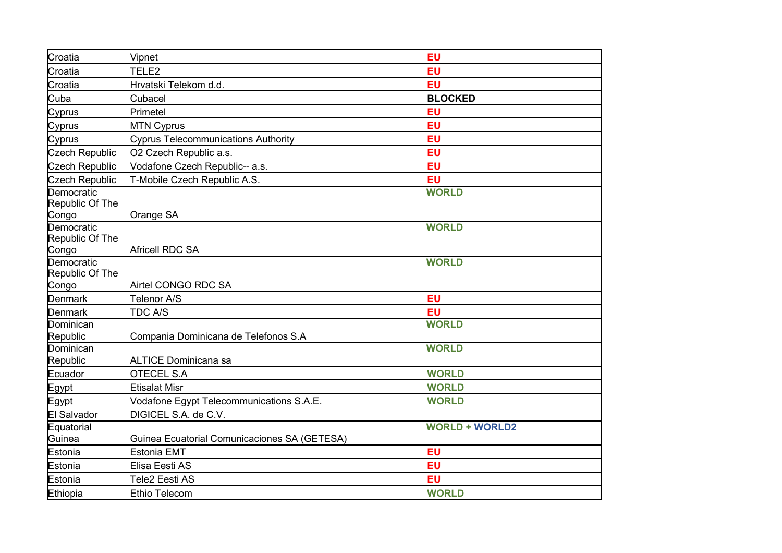| Croatia                                | Vipnet                                       | <b>EU</b>             |
|----------------------------------------|----------------------------------------------|-----------------------|
| Croatia                                | TELE2                                        | EU                    |
| Croatia                                | Hrvatski Telekom d.d.                        | <b>EU</b>             |
| Cuba                                   | Cubacel                                      | <b>BLOCKED</b>        |
| Cyprus                                 | Primetel                                     | <b>EU</b>             |
| Cyprus                                 | <b>MTN Cyprus</b>                            | EU                    |
| Cyprus                                 | <b>Cyprus Telecommunications Authority</b>   | EU                    |
| <b>Czech Republic</b>                  | O2 Czech Republic a.s.                       | EU                    |
| <b>Czech Republic</b>                  | Vodafone Czech Republic-- a.s.               | <b>EU</b>             |
| <b>Czech Republic</b>                  | T-Mobile Czech Republic A.S.                 | EU                    |
| Democratic<br>Republic Of The          |                                              | <b>WORLD</b>          |
| Congo<br>Democratic<br>Republic Of The | Orange SA                                    | <b>WORLD</b>          |
| Congo                                  | Africell RDC SA                              |                       |
| Democratic<br>Republic Of The          |                                              | <b>WORLD</b>          |
| Congo                                  | Airtel CONGO RDC SA                          |                       |
| <b>Denmark</b>                         | Telenor A/S                                  | <b>EU</b>             |
| <b>Denmark</b>                         | <b>TDC A/S</b>                               | EU                    |
| Dominican<br>Republic                  | Compania Dominicana de Telefonos S.A         | <b>WORLD</b>          |
| Dominican<br>Republic                  | <b>ALTICE Dominicana sa</b>                  | <b>WORLD</b>          |
| Ecuador                                | <b>OTECEL S.A</b>                            | <b>WORLD</b>          |
| Egypt                                  | <b>Etisalat Misr</b>                         | <b>WORLD</b>          |
| Egypt                                  | Vodafone Egypt Telecommunications S.A.E.     | <b>WORLD</b>          |
| <b>El Salvador</b>                     | DIGICEL S.A. de C.V.                         |                       |
| Equatorial                             |                                              | <b>WORLD + WORLD2</b> |
| Guinea                                 | Guinea Ecuatorial Comunicaciones SA (GETESA) |                       |
| Estonia                                | <b>Estonia EMT</b>                           | EU                    |
| Estonia                                | Elisa Eesti AS                               | EU                    |
| Estonia                                | Tele2 Eesti AS                               | <b>EU</b>             |
| Ethiopia                               | <b>Ethio Telecom</b>                         | <b>WORLD</b>          |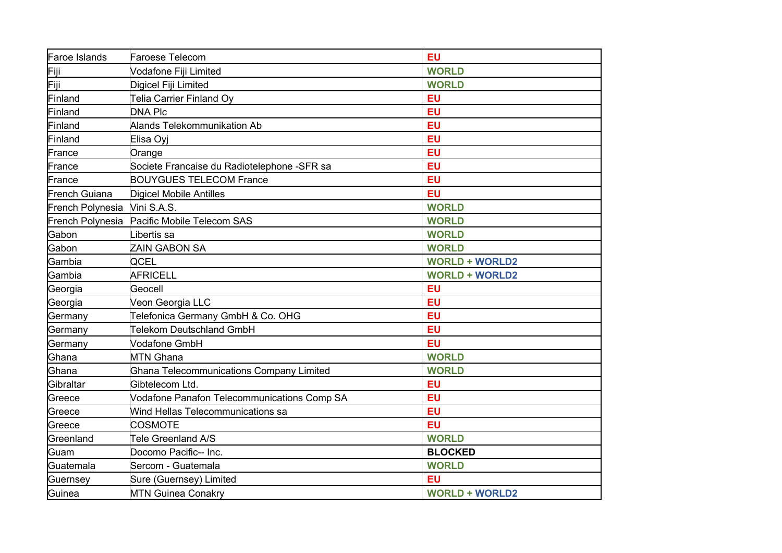| <b>Faroe Islands</b> | <b>Faroese Telecom</b>                          | <b>EU</b>             |
|----------------------|-------------------------------------------------|-----------------------|
| Fiji                 | Vodafone Fiji Limited                           | <b>WORLD</b>          |
| Fiji                 | Digicel Fiji Limited                            | <b>WORLD</b>          |
| Finland              | <b>Telia Carrier Finland Oy</b>                 | EU                    |
| Finland              | <b>DNA Plc</b>                                  | <b>EU</b>             |
| Finland              | Alands Telekommunikation Ab                     | <b>EU</b>             |
| Finland              | Elisa Oyj                                       | EU                    |
| France               | Orange                                          | EU                    |
| France               | Societe Francaise du Radiotelephone -SFR sa     | EU                    |
| France               | <b>BOUYGUES TELECOM France</b>                  | EU                    |
| <b>French Guiana</b> | <b>Digicel Mobile Antilles</b>                  | EU                    |
| French Polynesia     | Vini S.A.S.                                     | <b>WORLD</b>          |
| French Polynesia     | Pacific Mobile Telecom SAS                      | <b>WORLD</b>          |
| Gabon                | ibertis sa                                      | <b>WORLD</b>          |
| Gabon                | ZAIN GABON SA                                   | <b>WORLD</b>          |
| Gambia               | QCEL                                            | <b>WORLD + WORLD2</b> |
| Gambia               | <b>AFRICELL</b>                                 | <b>WORLD + WORLD2</b> |
| Georgia              | Geocell                                         | <b>EU</b>             |
| Georgia              | Veon Georgia LLC                                | <b>EU</b>             |
| Germany              | Telefonica Germany GmbH & Co. OHG               | <b>EU</b>             |
| Germany              | Telekom Deutschland GmbH                        | <b>EU</b>             |
| Germany              | <b>Vodafone GmbH</b>                            | EU                    |
| Ghana                | <b>MTN Ghana</b>                                | <b>WORLD</b>          |
| Ghana                | <b>Ghana Telecommunications Company Limited</b> | <b>WORLD</b>          |
| Gibraltar            | Gibtelecom Ltd.                                 | <b>EU</b>             |
| Greece               | Vodafone Panafon Telecommunications Comp SA     | <b>EU</b>             |
| Greece               | Wind Hellas Telecommunications sa               | EU                    |
| Greece               | <b>COSMOTE</b>                                  | <b>EU</b>             |
| Greenland            | Tele Greenland A/S                              | <b>WORLD</b>          |
| Guam                 | Docomo Pacific-- Inc.                           | <b>BLOCKED</b>        |
| Guatemala            | Sercom - Guatemala                              | <b>WORLD</b>          |
| Guernsey             | Sure (Guernsey) Limited                         | <b>EU</b>             |
| Guinea               | <b>MTN Guinea Conakry</b>                       | <b>WORLD + WORLD2</b> |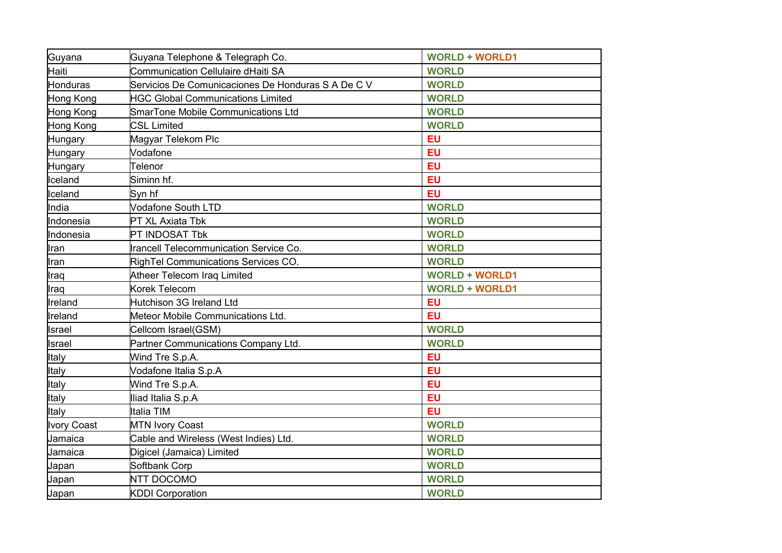| Guyana             | Guyana Telephone & Telegraph Co.                   | <b>WORLD + WORLD1</b> |
|--------------------|----------------------------------------------------|-----------------------|
| Haiti              | Communication Cellulaire dHaiti SA                 | <b>WORLD</b>          |
| Honduras           | Servicios De Comunicaciones De Honduras S A De C V | <b>WORLD</b>          |
| Hong Kong          | <b>HGC Global Communications Limited</b>           | <b>WORLD</b>          |
| Hong Kong          | SmarTone Mobile Communications Ltd                 | <b>WORLD</b>          |
| Hong Kong          | <b>CSL Limited</b>                                 | <b>WORLD</b>          |
| Hungary            | Magyar Telekom Plc                                 | <b>EU</b>             |
| Hungary            | Vodafone                                           | EU                    |
| Hungary            | Telenor                                            | EU                    |
| Iceland            | Siminn hf.                                         | EU                    |
| Iceland            | Syn hf                                             | EU                    |
| India              | Vodafone South LTD                                 | <b>WORLD</b>          |
| Indonesia          | PT XL Axiata Tbk                                   | <b>WORLD</b>          |
| Indonesia          | PT INDOSAT Tbk                                     | <b>WORLD</b>          |
| Iran               | Irancell Telecommunication Service Co.             | <b>WORLD</b>          |
| Iran               | RighTel Communications Services CO.                | <b>WORLD</b>          |
| Iraq               | Atheer Telecom Iraq Limited                        | <b>WORLD + WORLD1</b> |
| Iraq               | Korek Telecom                                      | <b>WORLD + WORLD1</b> |
| Ireland            | Hutchison 3G Ireland Ltd                           | <b>EU</b>             |
| Ireland            | Meteor Mobile Communications Ltd.                  | <b>EU</b>             |
| Israel             | Cellcom Israel(GSM)                                | <b>WORLD</b>          |
| Israel             | Partner Communications Company Ltd.                | <b>WORLD</b>          |
| Italy              | Wind Tre S.p.A.                                    | <b>EU</b>             |
| Italy              | Vodafone Italia S.p.A                              | <b>EU</b>             |
| Italy              | Wind Tre S.p.A.                                    | <b>EU</b>             |
| Italy              | Iliad Italia S.p.A                                 | <b>EU</b>             |
| Italy              | Italia TIM                                         | <b>EU</b>             |
| <b>Ivory Coast</b> | <b>MTN Ivory Coast</b>                             | <b>WORLD</b>          |
| Jamaica            | Cable and Wireless (West Indies) Ltd.              | <b>WORLD</b>          |
| Jamaica            | Digicel (Jamaica) Limited                          | <b>WORLD</b>          |
| Japan              | Softbank Corp                                      | <b>WORLD</b>          |
| Japan              | NTT DOCOMO                                         | <b>WORLD</b>          |
| Japan              | <b>KDDI Corporation</b>                            | <b>WORLD</b>          |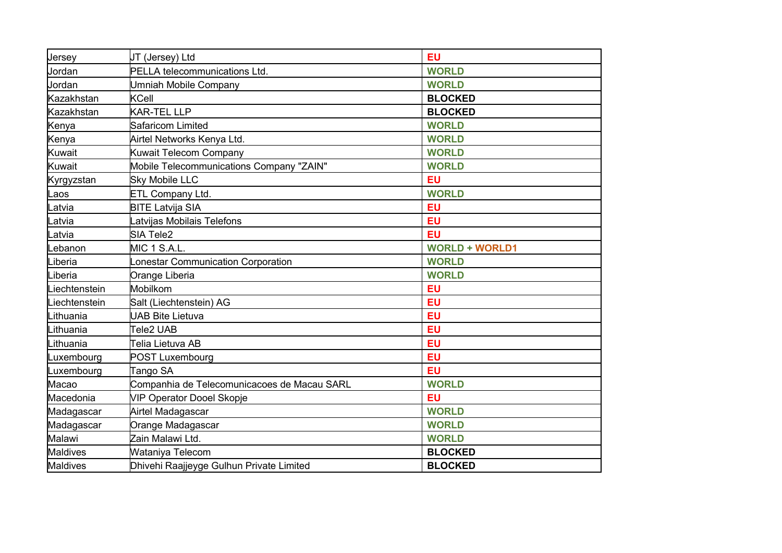| Jersey             | JT (Jersey) Ltd                             | <b>EU</b>             |
|--------------------|---------------------------------------------|-----------------------|
| Jordan             | PELLA telecommunications Ltd.               | <b>WORLD</b>          |
| Jordan             | Jmniah Mobile Company                       | <b>WORLD</b>          |
| Kazakhstan         | KCell                                       | <b>BLOCKED</b>        |
| Kazakhstan         | KAR-TEL LLP                                 | <b>BLOCKED</b>        |
| Kenya              | Safaricom Limited                           | <b>WORLD</b>          |
| Kenya              | Airtel Networks Kenya Ltd.                  | <b>WORLD</b>          |
| Kuwait             | Kuwait Telecom Company                      | <b>WORLD</b>          |
| <b>Kuwait</b>      | Mobile Telecommunications Company "ZAIN"    | <b>WORLD</b>          |
| Kyrgyzstan         | <b>Sky Mobile LLC</b>                       | <b>EU</b>             |
| Laos               | ETL Company Ltd.                            | <b>WORLD</b>          |
| .atvia             | <b>BITE Latvija SIA</b>                     | <b>EU</b>             |
| atvia <sub>-</sub> | atvijas Mobilais Telefons                   | <b>EU</b>             |
| .atvia             | SIA Tele2                                   | EU                    |
| ebanon.            | MIC 1 S.A.L.                                | <b>WORLD + WORLD1</b> |
| Liberia            | onestar Communication Corporation           | <b>WORLD</b>          |
| Liberia            | Orange Liberia                              | <b>WORLD</b>          |
| iechtenstein       | Mobilkom                                    | <b>EU</b>             |
| Liechtenstein      | Salt (Liechtenstein) AG                     | EU                    |
| Lithuania          | <b>JAB Bite Lietuva</b>                     | EU                    |
| Lithuania          | Tele2 UAB                                   | EU                    |
| Lithuania          | Telia Lietuva AB                            | <b>EU</b>             |
| Luxembourg         | <b>POST Luxembourg</b>                      | <b>EU</b>             |
| Luxembourg         | Tango SA                                    | EU                    |
| Macao              | Companhia de Telecomunicacoes de Macau SARL | <b>WORLD</b>          |
| Macedonia          | <b>VIP Operator Dooel Skopje</b>            | EU                    |
| Madagascar         | Airtel Madagascar                           | <b>WORLD</b>          |
| Madagascar         | Orange Madagascar                           | <b>WORLD</b>          |
| Malawi             | .<br>Zain Malawi Ltd.                       | <b>WORLD</b>          |
| <b>Maldives</b>    | Wataniya Telecom                            | <b>BLOCKED</b>        |
| <b>Maldives</b>    | Dhivehi Raajjeyge Gulhun Private Limited    | <b>BLOCKED</b>        |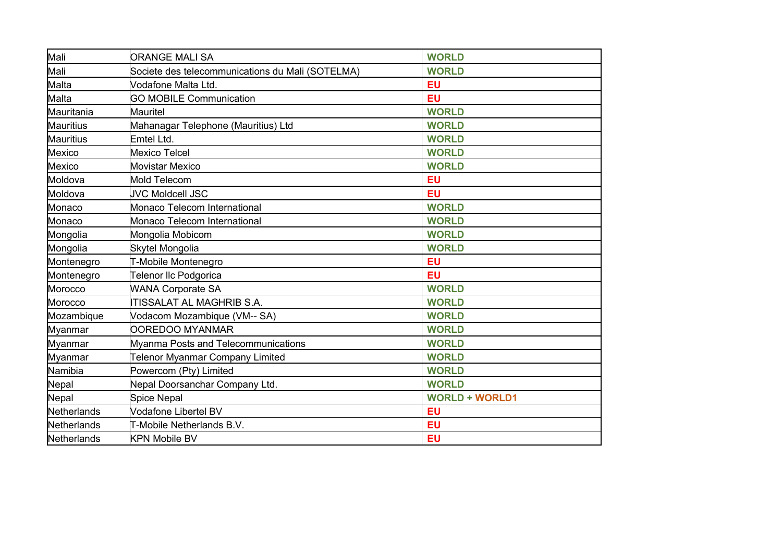| Mali             | <b>ORANGE MALI SA</b>                            | <b>WORLD</b>          |
|------------------|--------------------------------------------------|-----------------------|
| Mali             | Societe des telecommunications du Mali (SOTELMA) | <b>WORLD</b>          |
| Malta            | Vodafone Malta Ltd.                              | <b>EU</b>             |
| Malta            | <b>GO MOBILE Communication</b>                   | <b>EU</b>             |
| Mauritania       | Mauritel                                         | <b>WORLD</b>          |
| <b>Mauritius</b> | Mahanagar Telephone (Mauritius) Ltd              | <b>WORLD</b>          |
| <b>Mauritius</b> | Emtel Ltd.                                       | <b>WORLD</b>          |
| Mexico           | <b>Mexico Telcel</b>                             | <b>WORLD</b>          |
| Mexico           | <b>Movistar Mexico</b>                           | <b>WORLD</b>          |
| Moldova          | <b>Mold Telecom</b>                              | <b>EU</b>             |
| Moldova          | <b>JVC Moldcell JSC</b>                          | <b>EU</b>             |
| Monaco           | Monaco Telecom International                     | <b>WORLD</b>          |
| Monaco           | Monaco Telecom International                     | <b>WORLD</b>          |
| Mongolia         | Mongolia Mobicom                                 | <b>WORLD</b>          |
| Mongolia         | Skytel Mongolia                                  | <b>WORLD</b>          |
| Montenegro       | T-Mobile Montenegro                              | <b>EU</b>             |
| Montenegro       | Telenor IIc Podgorica                            | <b>EU</b>             |
| Morocco          | <b>WANA Corporate SA</b>                         | <b>WORLD</b>          |
| Morocco          | <b>ITISSALAT AL MAGHRIB S.A.</b>                 | <b>WORLD</b>          |
| Mozambique       | Vodacom Mozambique (VM-- SA)                     | <b>WORLD</b>          |
| Myanmar          | OOREDOO MYANMAR                                  | <b>WORLD</b>          |
| Myanmar          | Myanma Posts and Telecommunications              | <b>WORLD</b>          |
| Myanmar          | <b>Telenor Myanmar Company Limited</b>           | <b>WORLD</b>          |
| Namibia          | Powercom (Pty) Limited                           | <b>WORLD</b>          |
| Nepal            | Nepal Doorsanchar Company Ltd.                   | <b>WORLD</b>          |
| Nepal            | <b>Spice Nepal</b>                               | <b>WORLD + WORLD1</b> |
| Netherlands      | Vodafone Libertel BV                             | <b>EU</b>             |
| Netherlands      | T-Mobile Netherlands B.V.                        | <b>EU</b>             |
| Netherlands      | <b>KPN Mobile BV</b>                             | <b>EU</b>             |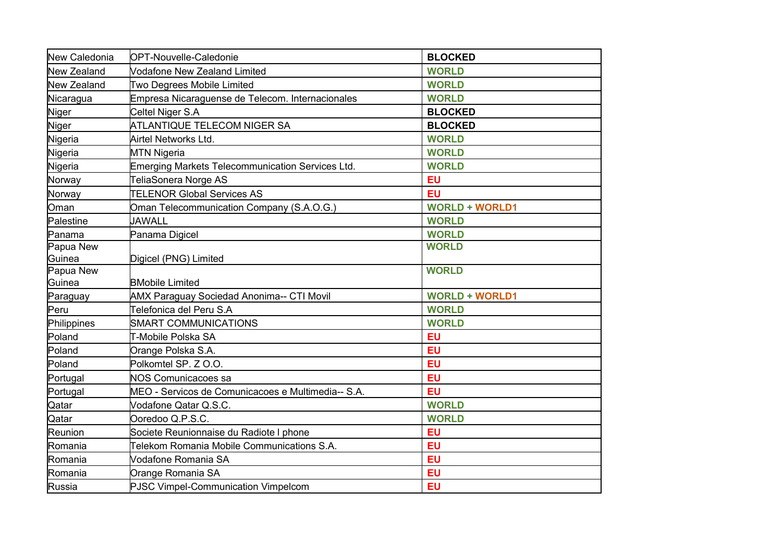| New Caledonia         | <b>OPT-Nouvelle-Caledonie</b>                                     | <b>BLOCKED</b>         |
|-----------------------|-------------------------------------------------------------------|------------------------|
| New Zealand           | Vodafone New Zealand Limited                                      | <b>WORLD</b>           |
| <b>New Zealand</b>    | Two Degrees Mobile Limited                                        | <b>WORLD</b>           |
| Nicaragua             | Empresa Nicaraguense de Telecom. Internacionales                  | <b>WORLD</b>           |
| Niger                 | Celtel Niger S.A                                                  | <b>BLOCKED</b>         |
| Niger                 | ATLANTIQUE TELECOM NIGER SA                                       | <b>BLOCKED</b>         |
| Nigeria               | Airtel Networks Ltd.                                              | <b>WORLD</b>           |
| Nigeria               | <b>MTN Nigeria</b>                                                | <b>WORLD</b>           |
| Nigeria               | Emerging Markets Telecommunication Services Ltd.                  | <b>WORLD</b>           |
| Norway                | TeliaSonera Norge AS                                              | <b>EU</b>              |
| Norway                | <b>TELENOR Global Services AS</b>                                 | EU                     |
| Oman                  | Oman Telecommunication Company (S.A.O.G.)                         | <b>WORLD + WORLD1</b>  |
| Palestine             | <b>JAWALL</b>                                                     | <b>WORLD</b>           |
| Panama                | Panama Digicel                                                    | <b>WORLD</b>           |
| Papua New             |                                                                   | <b>WORLD</b>           |
| Guinea                | Digicel (PNG) Limited                                             |                        |
| Papua New<br>Guinea   | <b>BMobile Limited</b>                                            | <b>WORLD</b>           |
|                       | <b>AMX Paraguay Sociedad Anonima-- CTI Movil</b>                  | <b>WORLD + WORLD1</b>  |
| Paraguay<br>Peru      | Telefonica del Peru S.A                                           | <b>WORLD</b>           |
|                       | <b>SMART COMMUNICATIONS</b>                                       | <b>WORLD</b>           |
| Philippines<br>Poland | T-Mobile Polska SA                                                | <b>EU</b>              |
| Poland                | Orange Polska S.A.                                                | <b>EU</b>              |
| Poland                | Polkomtel SP, Z O.O.                                              | <b>EU</b>              |
|                       | NOS Comunicacoes sa                                               | EU                     |
| Portugal              | MEO - Servicos de Comunicacoes e Multimedia-- S.A.                | EU                     |
| Portugal              |                                                                   | <b>WORLD</b>           |
| Qatar<br>Qatar        | Vodafone Qatar Q.S.C.<br>Ooredoo Q.P.S.C.                         | <b>WORLD</b>           |
| Reunion               | Societe Reunionnaise du Radiote I phone                           | <b>EU</b>              |
|                       |                                                                   |                        |
| Romania               | Telekom Romania Mobile Communications S.A.<br>Vodafone Romania SA | <b>EU</b><br><b>EU</b> |
| Romania               |                                                                   |                        |
| Romania               | Orange Romania SA                                                 | EU                     |
| Russia                | PJSC Vimpel-Communication Vimpelcom                               | <b>EU</b>              |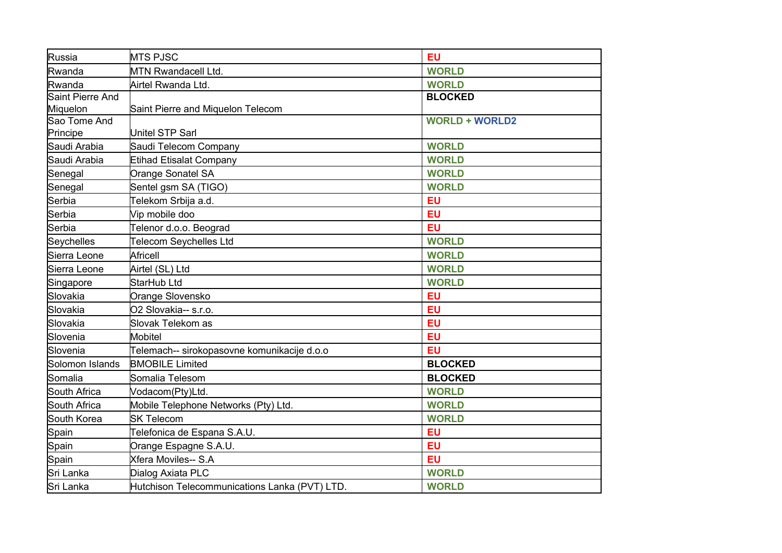| Russia           | <b>MTS PJSC</b>                               | <b>EU</b>             |
|------------------|-----------------------------------------------|-----------------------|
| Rwanda           | <b>MTN Rwandacell Ltd.</b>                    | <b>WORLD</b>          |
| Rwanda           | Airtel Rwanda Ltd.                            | <b>WORLD</b>          |
| Saint Pierre And |                                               | <b>BLOCKED</b>        |
| Miquelon         | Saint Pierre and Miquelon Telecom             |                       |
| Sao Tome And     |                                               | <b>WORLD + WORLD2</b> |
| Principe         | Unitel STP Sarl                               |                       |
| Saudi Arabia     | Saudi Telecom Company                         | <b>WORLD</b>          |
| Saudi Arabia     | Etihad Etisalat Company                       | <b>WORLD</b>          |
| Senegal          | Orange Sonatel SA                             | <b>WORLD</b>          |
| Senegal          | Sentel gsm SA (TIGO)                          | <b>WORLD</b>          |
| Serbia           | Telekom Srbija a.d.                           | <b>EU</b>             |
| Serbia           | Vip mobile doo                                | <b>EU</b>             |
| Serbia           | Telenor d.o.o. Beograd                        | <b>EU</b>             |
| Seychelles       | Telecom Seychelles Ltd                        | <b>WORLD</b>          |
| Sierra Leone     | Africell                                      | <b>WORLD</b>          |
| Sierra Leone     | Airtel (SL) Ltd                               | <b>WORLD</b>          |
| Singapore        | StarHub Ltd                                   | <b>WORLD</b>          |
| Slovakia         | Orange Slovensko                              | <b>EU</b>             |
| Slovakia         | O2 Slovakia-- s.r.o.                          | <b>EU</b>             |
| Slovakia         | Slovak Telekom as                             | <b>EU</b>             |
| Slovenia         | <b>Mobitel</b>                                | <b>EU</b>             |
| Slovenia         | Telemach-- sirokopasovne komunikacije d.o.o   | <b>EU</b>             |
| Solomon Islands  | <b>BMOBILE Limited</b>                        | <b>BLOCKED</b>        |
| Somalia          | Somalia Telesom                               | <b>BLOCKED</b>        |
| South Africa     | Vodacom(Pty)Ltd.                              | <b>WORLD</b>          |
| South Africa     | Mobile Telephone Networks (Pty) Ltd.          | <b>WORLD</b>          |
| South Korea      | <b>SK Telecom</b>                             | <b>WORLD</b>          |
| Spain            | Telefonica de Espana S.A.U.                   | <b>EU</b>             |
| Spain            | Orange Espagne S.A.U.                         | <b>EU</b>             |
| Spain            | Xfera Moviles-- S.A                           | <b>EU</b>             |
| Sri Lanka        | Dialog Axiata PLC                             | <b>WORLD</b>          |
| Sri Lanka        | Hutchison Telecommunications Lanka (PVT) LTD. | <b>WORLD</b>          |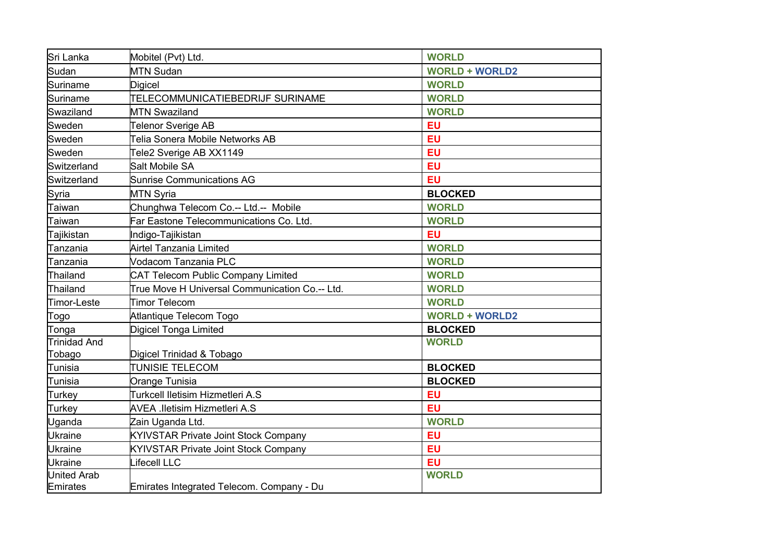| Sri Lanka                             | Mobitel (Pvt) Ltd.                             | <b>WORLD</b>          |
|---------------------------------------|------------------------------------------------|-----------------------|
| Sudan                                 | <b>MTN Sudan</b>                               | <b>WORLD + WORLD2</b> |
| Suriname                              | <b>Digicel</b>                                 | <b>WORLD</b>          |
| <b>Suriname</b>                       | TELECOMMUNICATIEBEDRIJF SURINAME               | <b>WORLD</b>          |
| Swaziland                             | <b>MTN Swaziland</b>                           | <b>WORLD</b>          |
| Sweden                                | Telenor Sverige AB                             | <b>EU</b>             |
| Sweden                                | <b>Telia Sonera Mobile Networks AB</b>         | EU                    |
| Sweden                                | Tele2 Sverige AB XX1149                        | EU                    |
| Switzerland                           | Salt Mobile SA                                 | <b>EU</b>             |
| Switzerland                           | <b>Sunrise Communications AG</b>               | <b>EU</b>             |
| Syria                                 | <b>MTN Syria</b>                               | <b>BLOCKED</b>        |
| Taiwan                                | Chunghwa Telecom Co.-- Ltd.-- Mobile           | <b>WORLD</b>          |
| Taiwan                                | Far Eastone Telecommunications Co. Ltd.        | <b>WORLD</b>          |
| Tajikistan                            | Indigo-Tajikistan                              | <b>EU</b>             |
| Tanzania                              | Airtel Tanzania Limited                        | <b>WORLD</b>          |
| Tanzania                              | Vodacom Tanzania PLC                           | <b>WORLD</b>          |
| Thailand                              | <b>CAT Telecom Public Company Limited</b>      | <b>WORLD</b>          |
| Thailand                              | True Move H Universal Communication Co.-- Ltd. | <b>WORLD</b>          |
| Timor-Leste                           | <b>Timor Telecom</b>                           | <b>WORLD</b>          |
| Togo                                  | Atlantique Telecom Togo                        | <b>WORLD + WORLD2</b> |
| Tonga                                 | <b>Digicel Tonga Limited</b>                   | <b>BLOCKED</b>        |
| Trinidad And                          |                                                | <b>WORLD</b>          |
| Tobago                                | Digicel Trinidad & Tobago                      |                       |
| Tunisia                               | <b>TUNISIE TELECOM</b>                         | <b>BLOCKED</b>        |
| Tunisia                               | Orange Tunisia                                 | <b>BLOCKED</b>        |
| Turkey                                | Turkcell Iletisim Hizmetleri A.S               | <b>EU</b>             |
| Turkey                                | <b>AVEA .lletisim Hizmetleri A.S</b>           | EU                    |
| Uganda                                | Zain Uganda Ltd.                               | <b>WORLD</b>          |
| <b>Ukraine</b>                        | <b>KYIVSTAR Private Joint Stock Company</b>    | EU                    |
| <b>Ukraine</b>                        | <b>KYIVSTAR Private Joint Stock Company</b>    | EU                    |
| <b>Ukraine</b>                        | ifecell LLC                                    | EU                    |
| <b>United Arab</b><br><b>Emirates</b> | Emirates Integrated Telecom. Company - Du      | <b>WORLD</b>          |